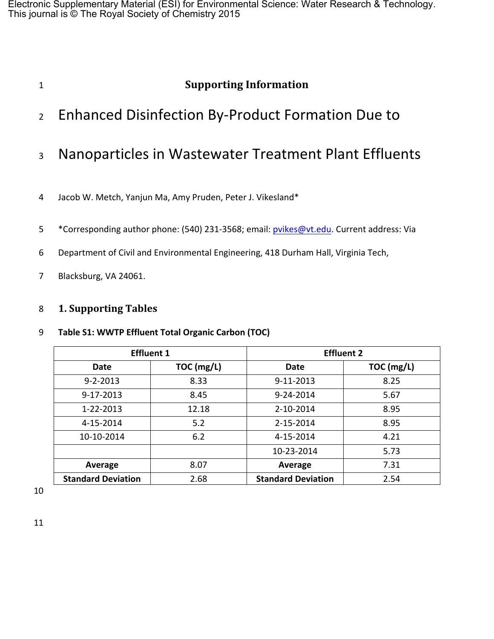Electronic Supplementary Material (ESI) for Environmental Science: Water Research & Technology. This journal is © The Royal Society of Chemistry 2015

# 1 **Supporting Information**

- 2 Enhanced Disinfection By-Product Formation Due to
- 3 Nanoparticles in Wastewater Treatment Plant Effluents
- 4 Jacob W. Metch, Yanjun Ma, Amy Pruden, Peter J. Vikesland\*
- 5 \*Corresponding author phone: (540) 231-3568; email: pvikes@vt.edu. Current address: Via
- 6 Department of Civil and Environmental Engineering, 418 Durham Hall, Virginia Tech,
- 7 Blacksburg, VA 24061.

#### 8 **1. Supporting Tables**

#### 9 Table S1: WWTP Effluent Total Organic Carbon (TOC)

|                           | <b>Effluent 1</b> | <b>Effluent 2</b>         |            |  |
|---------------------------|-------------------|---------------------------|------------|--|
| Date                      | TOC (mg/L)        | Date                      | TOC (mg/L) |  |
| $9 - 2 - 2013$            | 8.33              | 9-11-2013                 | 8.25       |  |
| $9 - 17 - 2013$           | 8.45              | 9-24-2014                 | 5.67       |  |
| 1-22-2013                 | 12.18             | 2-10-2014                 | 8.95       |  |
| 4-15-2014                 | 5.2               | 2-15-2014                 | 8.95       |  |
| 10-10-2014                | 6.2               | 4-15-2014                 | 4.21       |  |
|                           |                   | 10-23-2014                | 5.73       |  |
| Average                   | 8.07              | Average                   | 7.31       |  |
| <b>Standard Deviation</b> | 2.68              | <b>Standard Deviation</b> | 2.54       |  |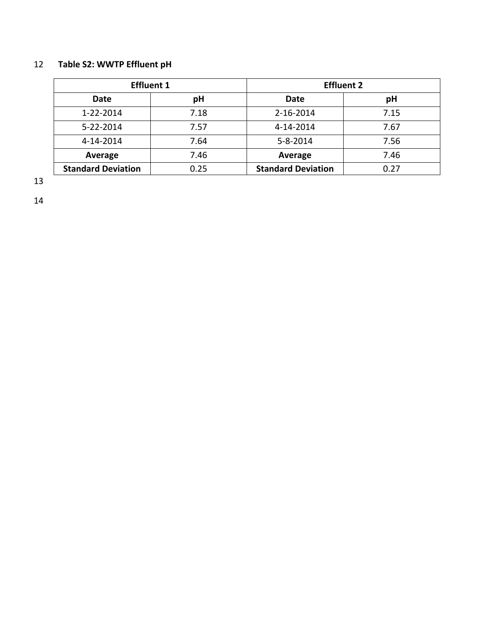## 12 **Table S2: WWTP Effluent pH**

| <b>Effluent 1</b>         |      | <b>Effluent 2</b>         |      |  |
|---------------------------|------|---------------------------|------|--|
| Date                      | pH   | Date                      | pH   |  |
| 1-22-2014                 | 7.18 | 2-16-2014                 | 7.15 |  |
| $5 - 22 - 2014$           | 7.57 | 4-14-2014                 | 7.67 |  |
| 4-14-2014                 | 7.64 | $5 - 8 - 2014$            | 7.56 |  |
| Average                   | 7.46 | Average                   | 7.46 |  |
| <b>Standard Deviation</b> | 0.25 | <b>Standard Deviation</b> | 0.27 |  |

13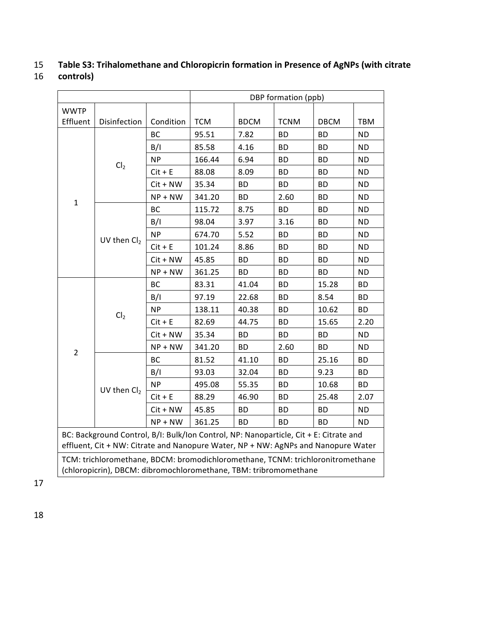# 15 Table S3: Trihalomethane and Chloropicrin formation in Presence of AgNPs (with citrate

#### 16 **controls)**

| DBP formation (ppb)                                                                                                                                                        |                 |            |            |             |             |             |           |
|----------------------------------------------------------------------------------------------------------------------------------------------------------------------------|-----------------|------------|------------|-------------|-------------|-------------|-----------|
| <b>WWTP</b>                                                                                                                                                                |                 |            |            |             |             |             |           |
| Effluent                                                                                                                                                                   | Disinfection    | Condition  | <b>TCM</b> | <b>BDCM</b> | <b>TCNM</b> | <b>DBCM</b> | TBM       |
|                                                                                                                                                                            |                 | <b>BC</b>  | 95.51      | 7.82        | <b>BD</b>   | <b>BD</b>   | <b>ND</b> |
|                                                                                                                                                                            | B/I             | 85.58      | 4.16       | <b>BD</b>   | ВD          | ND.         |           |
|                                                                                                                                                                            | Cl <sub>2</sub> | <b>NP</b>  | 166.44     | 6.94        | <b>BD</b>   | <b>BD</b>   | <b>ND</b> |
|                                                                                                                                                                            |                 | $Cit + E$  | 88.08      | 8.09        | ВD          | ВD          | <b>ND</b> |
|                                                                                                                                                                            |                 | $Cit + NW$ | 35.34      | <b>BD</b>   | <b>BD</b>   | <b>BD</b>   | <b>ND</b> |
| $\mathbf 1$                                                                                                                                                                |                 | $NP + NW$  | 341.20     | <b>BD</b>   | 2.60        | <b>BD</b>   | <b>ND</b> |
|                                                                                                                                                                            |                 | BC         | 115.72     | 8.75        | <b>BD</b>   | <b>BD</b>   | <b>ND</b> |
|                                                                                                                                                                            |                 | B/I        | 98.04      | 3.97        | 3.16        | <b>BD</b>   | <b>ND</b> |
|                                                                                                                                                                            | UV then $Cl2$   | <b>NP</b>  | 674.70     | 5.52        | <b>BD</b>   | ВD          | <b>ND</b> |
|                                                                                                                                                                            |                 | $Cit + E$  | 101.24     | 8.86        | <b>BD</b>   | <b>BD</b>   | <b>ND</b> |
|                                                                                                                                                                            |                 | $Cit + NW$ | 45.85      | <b>BD</b>   | ВD          | ВD          | <b>ND</b> |
|                                                                                                                                                                            |                 | $NP + NW$  | 361.25     | <b>BD</b>   | <b>BD</b>   | <b>BD</b>   | <b>ND</b> |
|                                                                                                                                                                            |                 | BC         | 83.31      | 41.04       | <b>BD</b>   | 15.28       | BD        |
|                                                                                                                                                                            |                 | B/I        | 97.19      | 22.68       | ВD          | 8.54        | BD        |
|                                                                                                                                                                            | Cl <sub>2</sub> | <b>NP</b>  | 138.11     | 40.38       | <b>BD</b>   | 10.62       | BD        |
|                                                                                                                                                                            |                 | $Cit + E$  | 82.69      | 44.75       | <b>BD</b>   | 15.65       | 2.20      |
|                                                                                                                                                                            |                 | $Cit + NW$ | 35.34      | <b>BD</b>   | <b>BD</b>   | <b>BD</b>   | <b>ND</b> |
| $\overline{2}$                                                                                                                                                             |                 | $NP + NW$  | 341.20     | BD.         | 2.60        | ВD          | <b>ND</b> |
|                                                                                                                                                                            |                 | BC         | 81.52      | 41.10       | <b>BD</b>   | 25.16       | <b>BD</b> |
|                                                                                                                                                                            |                 | B/I        | 93.03      | 32.04       | ВD          | 9.23        | <b>BD</b> |
|                                                                                                                                                                            | UV then $Cl2$   | <b>NP</b>  | 495.08     | 55.35       | ВD          | 10.68       | <b>BD</b> |
|                                                                                                                                                                            |                 | $Cit + E$  | 88.29      | 46.90       | <b>BD</b>   | 25.48       | 2.07      |
|                                                                                                                                                                            |                 | $Cit + NW$ | 45.85      | ВD          | ВD          | <b>BD</b>   | <b>ND</b> |
|                                                                                                                                                                            |                 | $NP + NW$  | 361.25     | <b>BD</b>   | <b>BD</b>   | <b>BD</b>   | <b>ND</b> |
| BC: Background Control, B/I: Bulk/Ion Control, NP: Nanoparticle, Cit + E: Citrate and<br>effluent, Cit + NW: Citrate and Nanopure Water, NP + NW: AgNPs and Nanopure Water |                 |            |            |             |             |             |           |
| TCM: trichloromethane, BDCM: bromodichloromethane, TCNM: trichloronitromethane<br>(chloropicrin), DBCM: dibromochloromethane, TBM: tribromomethane                         |                 |            |            |             |             |             |           |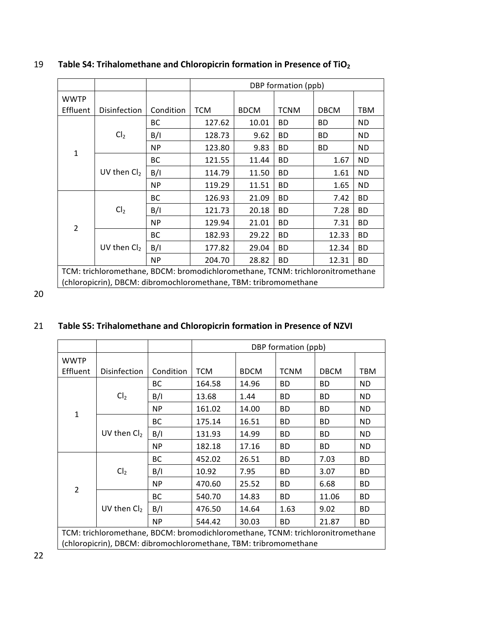|                                                                                |                     |           | DBP formation (ppb) |             |             |             |           |
|--------------------------------------------------------------------------------|---------------------|-----------|---------------------|-------------|-------------|-------------|-----------|
| <b>WWTP</b>                                                                    |                     |           |                     |             |             |             |           |
| Effluent                                                                       | <b>Disinfection</b> | Condition | <b>TCM</b>          | <b>BDCM</b> | <b>TCNM</b> | <b>DBCM</b> | TBM       |
|                                                                                |                     | BC.       | 127.62              | 10.01       | ВD          | <b>BD</b>   | <b>ND</b> |
|                                                                                | Cl <sub>2</sub>     | B/I       | 128.73              | 9.62        | ВD          | ВD          | <b>ND</b> |
| 1                                                                              |                     | <b>NP</b> | 123.80              | 9.83        | ВD          | <b>BD</b>   | ND        |
|                                                                                |                     | BC        | 121.55              | 11.44       | ВD          | 1.67        | <b>ND</b> |
|                                                                                | UV then $Cl2$       | B/I       | 114.79              | 11.50       | ВD          | 1.61        | <b>ND</b> |
|                                                                                |                     | <b>NP</b> | 119.29              | 11.51       | ВD          | 1.65        | ND        |
|                                                                                | Cl <sub>2</sub>     | <b>BC</b> | 126.93              | 21.09       | ВD          | 7.42        | <b>BD</b> |
|                                                                                |                     | B/I       | 121.73              | 20.18       | ВD          | 7.28        | <b>BD</b> |
|                                                                                |                     | NP.       | 129.94              | 21.01       | ВD          | 7.31        | <b>BD</b> |
| $\overline{2}$                                                                 |                     | BC        | 182.93              | 29.22       | ВD          | 12.33       | BD        |
|                                                                                | UV then $Cl2$       | B/I       | 177.82              | 29.04       | ВD          | 12.34       | <b>BD</b> |
|                                                                                |                     | <b>NP</b> | 204.70              | 28.82       | ВD          | 12.31       | <b>BD</b> |
| TCM: trichloromethane, BDCM: bromodichloromethane, TCNM: trichloronitromethane |                     |           |                     |             |             |             |           |
| (chloropicrin), DBCM: dibromochloromethane, TBM: tribromomethane               |                     |           |                     |             |             |             |           |

#### 19 **Table S4: Trihalomethane and Chloropicrin formation in Presence of TiO<sub>2</sub>**

20

#### 21 Table S5: Trihalomethane and Chloropicrin formation in Presence of NZVI

|                                                                                |                                                                  |           | DBP formation (ppb) |             |             |             |           |
|--------------------------------------------------------------------------------|------------------------------------------------------------------|-----------|---------------------|-------------|-------------|-------------|-----------|
| <b>WWTP</b>                                                                    |                                                                  |           |                     |             |             |             |           |
| Effluent                                                                       | Disinfection                                                     | Condition | <b>TCM</b>          | <b>BDCM</b> | <b>TCNM</b> | <b>DBCM</b> | TBM       |
|                                                                                |                                                                  | BС        | 164.58              | 14.96       | ВD          | <b>BD</b>   | <b>ND</b> |
|                                                                                | Cl <sub>2</sub>                                                  | B/I       | 13.68               | 1.44        | BD          | <b>BD</b>   | <b>ND</b> |
| $\mathbf{1}$                                                                   |                                                                  | NP.       | 161.02              | 14.00       | ВD          | <b>BD</b>   | <b>ND</b> |
|                                                                                |                                                                  | ВC        | 175.14              | 16.51       | ВD          | <b>BD</b>   | ND        |
|                                                                                | UV then Cl <sub>2</sub>                                          | B/I       | 131.93              | 14.99       | ВD          | <b>BD</b>   | <b>ND</b> |
|                                                                                | <b>NP</b>                                                        | 182.18    | 17.16               | ВD          | <b>BD</b>   | <b>ND</b>   |           |
|                                                                                |                                                                  | BC        | 452.02              | 26.51       | ВD          | 7.03        | ВD        |
|                                                                                | Cl <sub>2</sub>                                                  | B/I       | 10.92               | 7.95        | ВD          | 3.07        | ВD        |
|                                                                                |                                                                  | NP.       | 470.60              | 25.52       | ВD          | 6.68        | ВD        |
| 2                                                                              |                                                                  | ВC        | 540.70              | 14.83       | ВD          | 11.06       | ВD        |
|                                                                                | UV then $Cl2$                                                    | B/I       | 476.50              | 14.64       | 1.63        | 9.02        | <b>BD</b> |
|                                                                                |                                                                  | <b>NP</b> | 544.42              | 30.03       | ВD          | 21.87       | ВD        |
| TCM: trichloromethane, BDCM: bromodichloromethane, TCNM: trichloronitromethane |                                                                  |           |                     |             |             |             |           |
|                                                                                | (chloropicrin), DBCM: dibromochloromethane, TBM: tribromomethane |           |                     |             |             |             |           |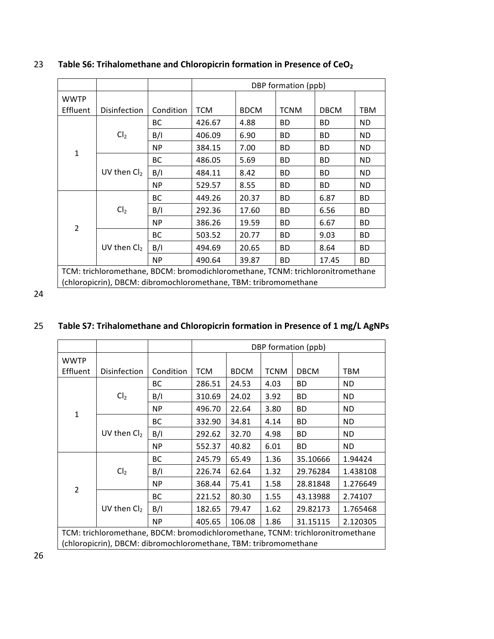|                                                                                |                 |           | DBP formation (ppb) |             |             |             |           |
|--------------------------------------------------------------------------------|-----------------|-----------|---------------------|-------------|-------------|-------------|-----------|
| <b>WWTP</b>                                                                    |                 |           |                     |             |             |             |           |
| Effluent                                                                       | Disinfection    | Condition | <b>TCM</b>          | <b>BDCM</b> | <b>TCNM</b> | <b>DBCM</b> | TBM       |
|                                                                                |                 | BC        | 426.67              | 4.88        | BD          | BD          | ND        |
|                                                                                | Cl <sub>2</sub> | B/I       | 406.09              | 6.90        | ВD          | BD.         | ND        |
| $\mathbf{1}$                                                                   |                 | NP        | 384.15              | 7.00        | ВD          | BD          | ND        |
|                                                                                |                 | BC        | 486.05              | 5.69        | <b>BD</b>   | BD.         | <b>ND</b> |
|                                                                                | UV then $Cl2$   | B/I       | 484.11              | 8.42        | <b>BD</b>   | BD.         | <b>ND</b> |
|                                                                                |                 | <b>NP</b> | 529.57              | 8.55        | <b>BD</b>   | BD.         | <b>ND</b> |
|                                                                                | Cl <sub>2</sub> | BC        | 449.26              | 20.37       | ВD          | 6.87        | ВD        |
|                                                                                |                 | B/I       | 292.36              | 17.60       | ВD          | 6.56        | ВD        |
| $\overline{2}$                                                                 | <b>NP</b>       | 386.26    | 19.59               | <b>BD</b>   | 6.67        | ВD          |           |
|                                                                                |                 | ВC        | 503.52              | 20.77       | ВD          | 9.03        | ВD        |
|                                                                                | UV then $Cl2$   | B/I       | 494.69              | 20.65       | <b>BD</b>   | 8.64        | ВD        |
|                                                                                |                 | <b>NP</b> | 490.64              | 39.87       | <b>BD</b>   | 17.45       | ВD        |
| TCM: trichloromethane, BDCM: bromodichloromethane, TCNM: trichloronitromethane |                 |           |                     |             |             |             |           |
| (chloropicrin), DBCM: dibromochloromethane, TBM: tribromomethane               |                 |           |                     |             |             |             |           |

## 23 Table S6: Trihalomethane and Chloropicrin formation in Presence of CeO<sub>2</sub>

24

#### 25 Table S7: Trihalomethane and Chloropicrin formation in Presence of 1 mg/L AgNPs

|                                                                                |                                                                  |           | DBP formation (ppb) |             |             |             |           |
|--------------------------------------------------------------------------------|------------------------------------------------------------------|-----------|---------------------|-------------|-------------|-------------|-----------|
| <b>WWTP</b>                                                                    |                                                                  |           |                     |             |             |             |           |
| Effluent                                                                       | <b>Disinfection</b>                                              | Condition | <b>TCM</b>          | <b>BDCM</b> | <b>TCNM</b> | <b>DBCM</b> | TBM       |
|                                                                                |                                                                  | BC.       | 286.51              | 24.53       | 4.03        | BD          | ND.       |
|                                                                                | Cl <sub>2</sub>                                                  | B/I       | 310.69              | 24.02       | 3.92        | BD          | ND.       |
| $\mathbf{1}$                                                                   |                                                                  | <b>NP</b> | 496.70              | 22.64       | 3.80        | BD          | <b>ND</b> |
|                                                                                |                                                                  | BC        | 332.90              | 34.81       | 4.14        | BD          | ND.       |
|                                                                                | UV then $Cl2$                                                    | B/I       | 292.62              | 32.70       | 4.98        | <b>BD</b>   | ND.       |
|                                                                                | <b>NP</b>                                                        | 552.37    | 40.82               | 6.01        | <b>BD</b>   | ND.         |           |
|                                                                                |                                                                  | BC        | 245.79              | 65.49       | 1.36        | 35.10666    | 1.94424   |
|                                                                                | Cl <sub>2</sub>                                                  | B/I       | 226.74              | 62.64       | 1.32        | 29.76284    | 1.438108  |
| $\overline{2}$                                                                 |                                                                  | NP.       | 368.44              | 75.41       | 1.58        | 28.81848    | 1.276649  |
|                                                                                |                                                                  | BC.       | 221.52              | 80.30       | 1.55        | 43.13988    | 2.74107   |
|                                                                                | UV then $Cl2$                                                    | B/I       | 182.65              | 79.47       | 1.62        | 29.82173    | 1.765468  |
|                                                                                |                                                                  | <b>NP</b> | 405.65              | 106.08      | 1.86        | 31.15115    | 2.120305  |
| TCM: trichloromethane, BDCM: bromodichloromethane, TCNM: trichloronitromethane |                                                                  |           |                     |             |             |             |           |
|                                                                                | (chloropicrin), DBCM: dibromochloromethane, TBM: tribromomethane |           |                     |             |             |             |           |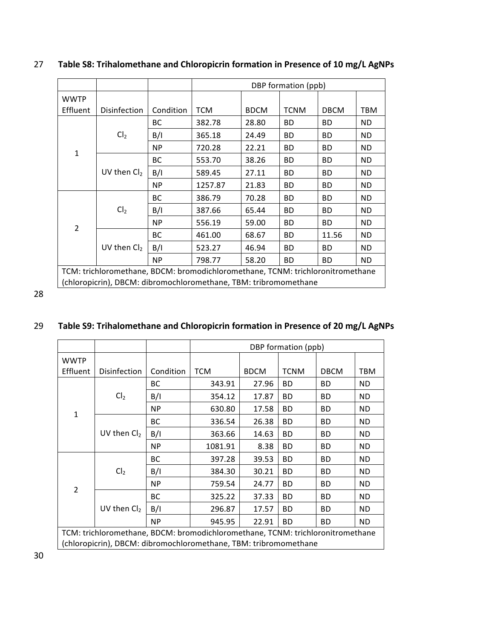|                                                                                |                     |           | DBP formation (ppb) |             |             |             |           |
|--------------------------------------------------------------------------------|---------------------|-----------|---------------------|-------------|-------------|-------------|-----------|
| <b>WWTP</b>                                                                    |                     |           |                     |             |             |             |           |
| Effluent                                                                       | <b>Disinfection</b> | Condition | <b>TCM</b>          | <b>BDCM</b> | <b>TCNM</b> | <b>DBCM</b> | TBM       |
|                                                                                |                     | BC.       | 382.78              | 28.80       | <b>BD</b>   | BD.         | ND.       |
|                                                                                | Cl <sub>2</sub>     | B/I       | 365.18              | 24.49       | <b>BD</b>   | BD          | ND.       |
|                                                                                |                     | <b>NP</b> | 720.28              | 22.21       | BD.         | BD.         | <b>ND</b> |
| $\mathbf{1}$                                                                   |                     | BC        | 553.70              | 38.26       | <b>BD</b>   | BD.         | ND        |
|                                                                                | UV then $Cl2$       | B/I       | 589.45              | 27.11       | BD.         | BD.         | <b>ND</b> |
|                                                                                |                     | <b>NP</b> | 1257.87             | 21.83       | <b>BD</b>   | BD.         | ND.       |
| Cl <sub>2</sub>                                                                | BC                  | 386.79    | 70.28               | BD.         | BD          | ND.         |           |
|                                                                                | B/I                 | 387.66    | 65.44               | <b>BD</b>   | BD.         | ND          |           |
|                                                                                |                     | <b>NP</b> | 556.19              | 59.00       | <b>BD</b>   | BD.         | ND.       |
| $\overline{2}$                                                                 |                     | BC        | 461.00              | 68.67       | <b>BD</b>   | 11.56       | <b>ND</b> |
|                                                                                | UV then $Cl2$       | B/I       | 523.27              | 46.94       | <b>BD</b>   | BD.         | ND.       |
|                                                                                |                     | <b>NP</b> | 798.77              | 58.20       | <b>BD</b>   | BD.         | <b>ND</b> |
| TCM: trichloromethane, BDCM: bromodichloromethane, TCNM: trichloronitromethane |                     |           |                     |             |             |             |           |
| (chloropicrin), DBCM: dibromochloromethane, TBM: tribromomethane               |                     |           |                     |             |             |             |           |

## 27 Table S8: Trihalomethane and Chloropicrin formation in Presence of 10 mg/L AgNPs

28

#### 29 Table S9: Trihalomethane and Chloropicrin formation in Presence of 20 mg/L AgNPs

|                                                                                |                                                                  |           | DBP formation (ppb) |             |             |             |            |
|--------------------------------------------------------------------------------|------------------------------------------------------------------|-----------|---------------------|-------------|-------------|-------------|------------|
| <b>WWTP</b>                                                                    |                                                                  |           |                     |             |             |             |            |
| Effluent                                                                       | <b>Disinfection</b>                                              | Condition | <b>TCM</b>          | <b>BDCM</b> | <b>TCNM</b> | <b>DBCM</b> | <b>TBM</b> |
|                                                                                |                                                                  | ВC        | 343.91              | 27.96       | <b>BD</b>   | <b>BD</b>   | <b>ND</b>  |
|                                                                                | Cl <sub>2</sub>                                                  | B/I       | 354.12              | 17.87       | <b>BD</b>   | <b>BD</b>   | <b>ND</b>  |
| $\mathbf{1}$                                                                   |                                                                  | <b>NP</b> | 630.80              | 17.58       | <b>BD</b>   | <b>BD</b>   | <b>ND</b>  |
|                                                                                |                                                                  | BC        | 336.54              | 26.38       | ВD          | <b>BD</b>   | <b>ND</b>  |
|                                                                                | UV then $Cl2$                                                    | B/I       | 363.66              | 14.63       | <b>BD</b>   | BD          | <b>ND</b>  |
|                                                                                |                                                                  | <b>NP</b> | 1081.91             | 8.38        | <b>BD</b>   | BD.         | <b>ND</b>  |
|                                                                                |                                                                  | ВC        | 397.28              | 39.53       | <b>BD</b>   | <b>BD</b>   | <b>ND</b>  |
|                                                                                | Cl <sub>2</sub>                                                  | B/I       | 384.30              | 30.21       | <b>BD</b>   | <b>BD</b>   | <b>ND</b>  |
| $\overline{2}$                                                                 |                                                                  | <b>NP</b> | 759.54              | 24.77       | <b>BD</b>   | <b>BD</b>   | ND         |
|                                                                                |                                                                  | ВC        | 325.22              | 37.33       | <b>BD</b>   | BD          | ND         |
|                                                                                | UV then $Cl2$                                                    | B/I       | 296.87              | 17.57       | <b>BD</b>   | <b>BD</b>   | <b>ND</b>  |
|                                                                                |                                                                  | <b>NP</b> | 945.95              | 22.91       | <b>BD</b>   | <b>BD</b>   | <b>ND</b>  |
| TCM: trichloromethane, BDCM: bromodichloromethane, TCNM: trichloronitromethane |                                                                  |           |                     |             |             |             |            |
|                                                                                | (chloropicrin), DBCM: dibromochloromethane, TBM: tribromomethane |           |                     |             |             |             |            |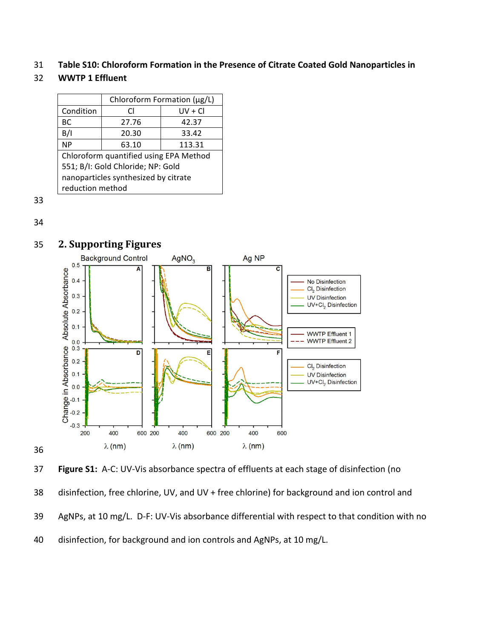31 Table S10: Chloroform Formation in the Presence of Citrate Coated Gold Nanoparticles in

#### 32 **WWTP 1 Effluent**

|                                        | Chloroform Formation (µg/L) |           |  |  |  |  |
|----------------------------------------|-----------------------------|-----------|--|--|--|--|
| Condition                              | CI.                         | $UV + CI$ |  |  |  |  |
| BС                                     | 27.76                       | 42.37     |  |  |  |  |
| B/I                                    | 20.30                       | 33.42     |  |  |  |  |
| <b>NP</b>                              | 63.10                       | 113.31    |  |  |  |  |
| Chloroform quantified using EPA Method |                             |           |  |  |  |  |
| 551; B/I: Gold Chloride; NP: Gold      |                             |           |  |  |  |  |
| nanoparticles synthesized by citrate   |                             |           |  |  |  |  |
| reduction method                       |                             |           |  |  |  |  |

33

34

36



## **35 2. Supporting Figures**

37 **Figure S1:** A-C: UV-Vis absorbance spectra of effluents at each stage of disinfection (no

38 disinfection, free chlorine, UV, and UV + free chlorine) for background and ion control and

- 39 AgNPs, at 10 mg/L. D-F: UV-Vis absorbance differential with respect to that condition with no
- 40 disinfection, for background and ion controls and AgNPs, at 10 mg/L.